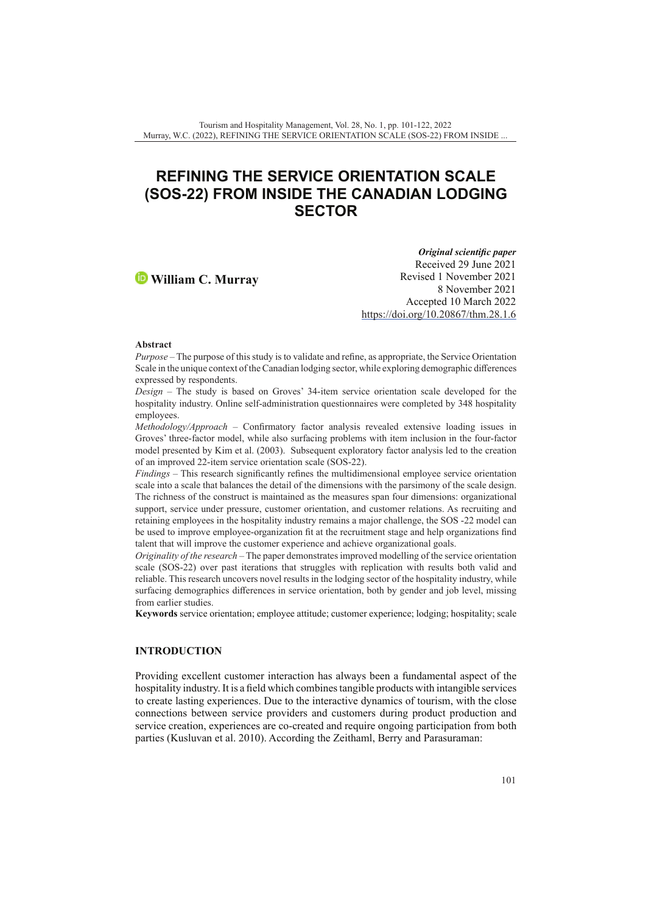# **REFINING THE SERVICE ORIENTATION SCALE (SOS-22) FROM INSIDE THE CANADIAN LODGING SECTOR**

# **William C. Murray**

*Original scientific paper* Received 29 June 2021 Revised 1 November 2021 8 November 2021 Accepted 10 March 2022 <https://doi.org/10.20867/thm.28.1.6>

#### **Abstract**

*Purpose* – The purpose of this study is to validate and refine, as appropriate, the Service Orientation Scale in the unique context of the Canadian lodging sector, while exploring demographic differences expressed by respondents.

*Design* – The study is based on Groves' 34-item service orientation scale developed for the hospitality industry. Online self-administration questionnaires were completed by 348 hospitality employees.

*Methodology/Approach* – Confirmatory factor analysis revealed extensive loading issues in Groves' three-factor model, while also surfacing problems with item inclusion in the four-factor model presented by Kim et al. (2003). Subsequent exploratory factor analysis led to the creation of an improved 22-item service orientation scale (SOS-22).

*Findings* – This research significantly refines the multidimensional employee service orientation scale into a scale that balances the detail of the dimensions with the parsimony of the scale design. The richness of the construct is maintained as the measures span four dimensions: organizational support, service under pressure, customer orientation, and customer relations. As recruiting and retaining employees in the hospitality industry remains a major challenge, the SOS -22 model can be used to improve employee-organization fit at the recruitment stage and help organizations find talent that will improve the customer experience and achieve organizational goals.

*Originality of the research* – The paper demonstrates improved modelling of the service orientation scale (SOS-22) over past iterations that struggles with replication with results both valid and reliable. This research uncovers novel results in the lodging sector of the hospitality industry, while surfacing demographics differences in service orientation, both by gender and job level, missing from earlier studies.

**Keywords** service orientation; employee attitude; customer experience; lodging; hospitality; scale

# **INTRODUCTION**

Providing excellent customer interaction has always been a fundamental aspect of the hospitality industry. It is a field which combines tangible products with intangible services to create lasting experiences. Due to the interactive dynamics of tourism, with the close connections between service providers and customers during product production and service creation, experiences are co-created and require ongoing participation from both parties (Kusluvan et al. 2010). According the Zeithaml, Berry and Parasuraman: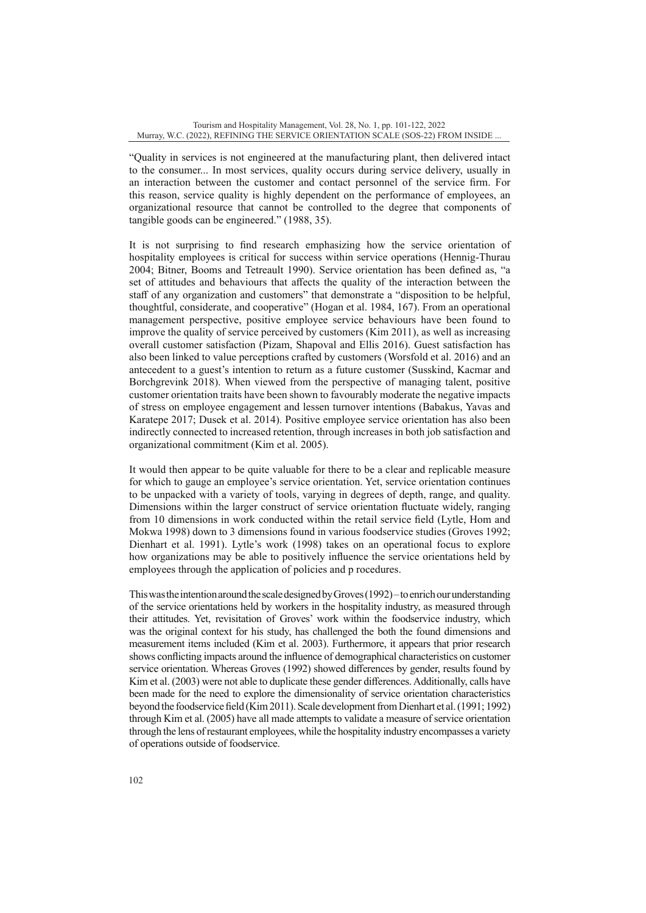"Quality in services is not engineered at the manufacturing plant, then delivered intact to the consumer... In most services, quality occurs during service delivery, usually in an interaction between the customer and contact personnel of the service firm. For this reason, service quality is highly dependent on the performance of employees, an organizational resource that cannot be controlled to the degree that components of tangible goods can be engineered." (1988, 35).

It is not surprising to find research emphasizing how the service orientation of hospitality employees is critical for success within service operations (Hennig-Thurau 2004; Bitner, Booms and Tetreault 1990). Service orientation has been defined as, "a set of attitudes and behaviours that affects the quality of the interaction between the staff of any organization and customers" that demonstrate a "disposition to be helpful, thoughtful, considerate, and cooperative" (Hogan et al. 1984, 167). From an operational management perspective, positive employee service behaviours have been found to improve the quality of service perceived by customers (Kim 2011), as well as increasing overall customer satisfaction (Pizam, Shapoval and Ellis 2016). Guest satisfaction has also been linked to value perceptions crafted by customers (Worsfold et al. 2016) and an antecedent to a guest's intention to return as a future customer (Susskind, Kacmar and Borchgrevink 2018). When viewed from the perspective of managing talent, positive customer orientation traits have been shown to favourably moderate the negative impacts of stress on employee engagement and lessen turnover intentions (Babakus, Yavas and Karatepe 2017; Dusek et al. 2014). Positive employee service orientation has also been indirectly connected to increased retention, through increases in both job satisfaction and organizational commitment (Kim et al. 2005).

It would then appear to be quite valuable for there to be a clear and replicable measure for which to gauge an employee's service orientation. Yet, service orientation continues to be unpacked with a variety of tools, varying in degrees of depth, range, and quality. Dimensions within the larger construct of service orientation fluctuate widely, ranging from 10 dimensions in work conducted within the retail service field (Lytle, Hom and Mokwa 1998) down to 3 dimensions found in various foodservice studies (Groves 1992; Dienhart et al. 1991). Lytle's work (1998) takes on an operational focus to explore how organizations may be able to positively influence the service orientations held by employees through the application of policies and p rocedures.

This was the intention around the scale designed by Groves (1992) – to enrich our understanding of the service orientations held by workers in the hospitality industry, as measured through their attitudes. Yet, revisitation of Groves' work within the foodservice industry, which was the original context for his study, has challenged the both the found dimensions and measurement items included (Kim et al. 2003). Furthermore, it appears that prior research shows conflicting impacts around the influence of demographical characteristics on customer service orientation. Whereas Groves (1992) showed differences by gender, results found by Kim et al. (2003) were not able to duplicate these gender differences. Additionally, calls have been made for the need to explore the dimensionality of service orientation characteristics beyond the foodservice field (Kim 2011). Scale development from Dienhart et al. (1991; 1992) through Kim et al. (2005) have all made attempts to validate a measure of service orientation through the lens of restaurant employees, while the hospitality industry encompasses a variety of operations outside of foodservice.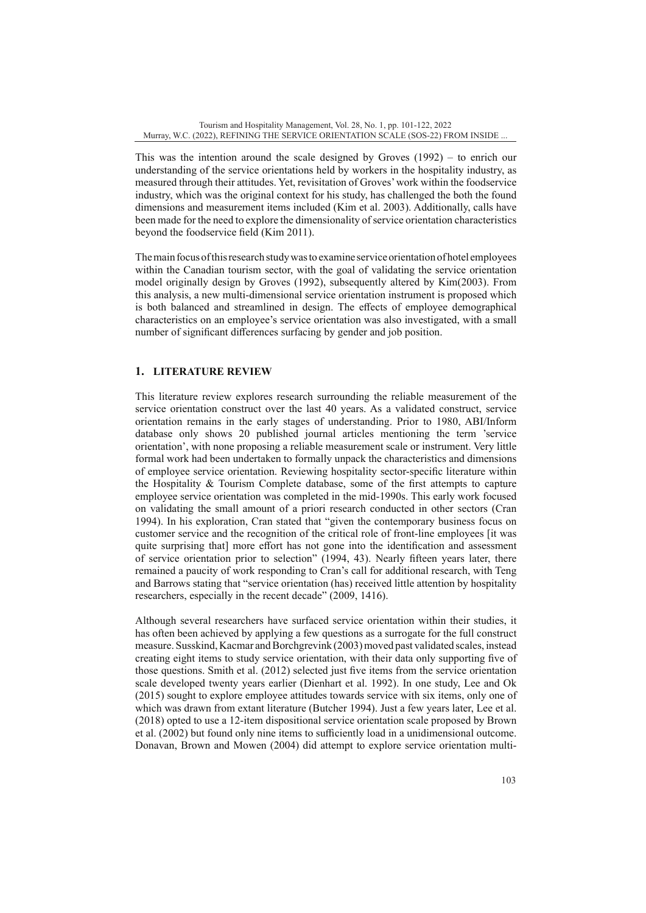This was the intention around the scale designed by Groves (1992) – to enrich our understanding of the service orientations held by workers in the hospitality industry, as measured through their attitudes. Yet, revisitation of Groves' work within the foodservice industry, which was the original context for his study, has challenged the both the found dimensions and measurement items included (Kim et al. 2003). Additionally, calls have been made for the need to explore the dimensionality of service orientation characteristics beyond the foodservice field (Kim 2011).

The main focus of this research study was to examine service orientation of hotel employees within the Canadian tourism sector, with the goal of validating the service orientation model originally design by Groves (1992), subsequently altered by Kim(2003). From this analysis, a new multi-dimensional service orientation instrument is proposed which is both balanced and streamlined in design. The effects of employee demographical characteristics on an employee's service orientation was also investigated, with a small number of significant differences surfacing by gender and job position.

# **1. LITERATURE REVIEW**

This literature review explores research surrounding the reliable measurement of the service orientation construct over the last 40 years. As a validated construct, service orientation remains in the early stages of understanding. Prior to 1980, ABI/Inform database only shows 20 published journal articles mentioning the term 'service orientation', with none proposing a reliable measurement scale or instrument. Very little formal work had been undertaken to formally unpack the characteristics and dimensions of employee service orientation. Reviewing hospitality sector-specific literature within the Hospitality & Tourism Complete database, some of the first attempts to capture employee service orientation was completed in the mid-1990s. This early work focused on validating the small amount of a priori research conducted in other sectors (Cran 1994). In his exploration, Cran stated that "given the contemporary business focus on customer service and the recognition of the critical role of front-line employees [it was quite surprising that] more effort has not gone into the identification and assessment of service orientation prior to selection" (1994, 43). Nearly fifteen years later, there remained a paucity of work responding to Cran's call for additional research, with Teng and Barrows stating that "service orientation (has) received little attention by hospitality researchers, especially in the recent decade" (2009, 1416).

Although several researchers have surfaced service orientation within their studies, it has often been achieved by applying a few questions as a surrogate for the full construct measure. Susskind, Kacmar and Borchgrevink (2003) moved past validated scales, instead creating eight items to study service orientation, with their data only supporting five of those questions. Smith et al. (2012) selected just five items from the service orientation scale developed twenty years earlier (Dienhart et al. 1992). In one study, Lee and Ok (2015) sought to explore employee attitudes towards service with six items, only one of which was drawn from extant literature (Butcher 1994). Just a few years later, Lee et al. (2018) opted to use a 12-item dispositional service orientation scale proposed by Brown et al. (2002) but found only nine items to sufficiently load in a unidimensional outcome. Donavan, Brown and Mowen (2004) did attempt to explore service orientation multi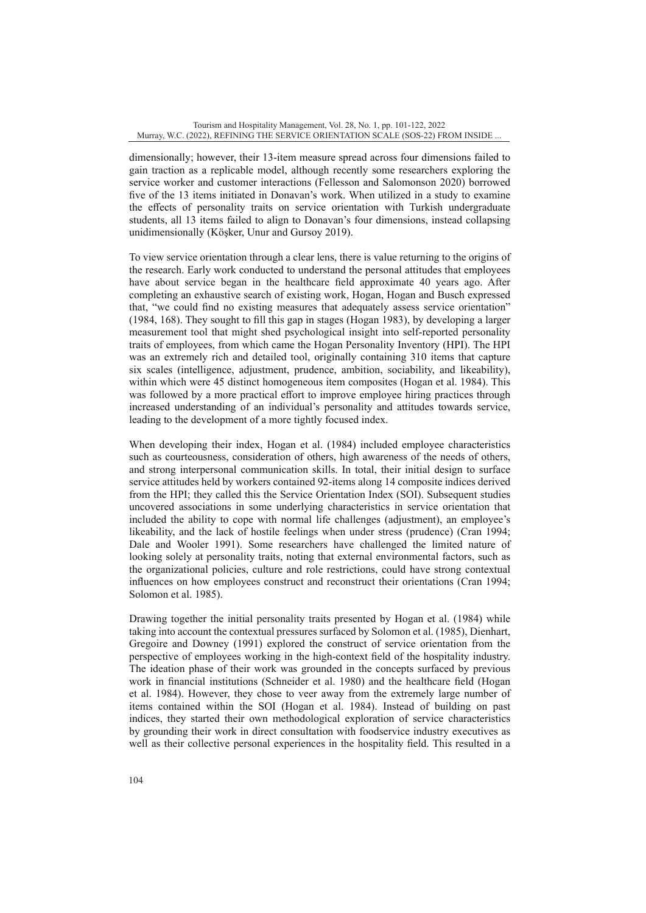dimensionally; however, their 13-item measure spread across four dimensions failed to gain traction as a replicable model, although recently some researchers exploring the service worker and customer interactions (Fellesson and Salomonson 2020) borrowed five of the 13 items initiated in Donavan's work. When utilized in a study to examine the effects of personality traits on service orientation with Turkish undergraduate students, all 13 items failed to align to Donavan's four dimensions, instead collapsing unidimensionally (Köşker, Unur and Gursoy 2019).

To view service orientation through a clear lens, there is value returning to the origins of the research. Early work conducted to understand the personal attitudes that employees have about service began in the healthcare field approximate 40 years ago. After completing an exhaustive search of existing work, Hogan, Hogan and Busch expressed that, "we could find no existing measures that adequately assess service orientation" (1984, 168). They sought to fill this gap in stages (Hogan 1983), by developing a larger measurement tool that might shed psychological insight into self-reported personality traits of employees, from which came the Hogan Personality Inventory (HPI). The HPI was an extremely rich and detailed tool, originally containing 310 items that capture six scales (intelligence, adjustment, prudence, ambition, sociability, and likeability), within which were 45 distinct homogeneous item composites (Hogan et al. 1984). This was followed by a more practical effort to improve employee hiring practices through increased understanding of an individual's personality and attitudes towards service, leading to the development of a more tightly focused index.

When developing their index, Hogan et al. (1984) included employee characteristics such as courteousness, consideration of others, high awareness of the needs of others, and strong interpersonal communication skills. In total, their initial design to surface service attitudes held by workers contained 92-items along 14 composite indices derived from the HPI; they called this the Service Orientation Index (SOI). Subsequent studies uncovered associations in some underlying characteristics in service orientation that included the ability to cope with normal life challenges (adjustment), an employee's likeability, and the lack of hostile feelings when under stress (prudence) (Cran 1994; Dale and Wooler 1991). Some researchers have challenged the limited nature of looking solely at personality traits, noting that external environmental factors, such as the organizational policies, culture and role restrictions, could have strong contextual influences on how employees construct and reconstruct their orientations (Cran 1994; Solomon et al. 1985).

Drawing together the initial personality traits presented by Hogan et al. (1984) while taking into account the contextual pressures surfaced by Solomon et al. (1985), Dienhart, Gregoire and Downey (1991) explored the construct of service orientation from the perspective of employees working in the high-context field of the hospitality industry. The ideation phase of their work was grounded in the concepts surfaced by previous work in financial institutions (Schneider et al. 1980) and the healthcare field (Hogan et al. 1984). However, they chose to veer away from the extremely large number of items contained within the SOI (Hogan et al. 1984). Instead of building on past indices, they started their own methodological exploration of service characteristics by grounding their work in direct consultation with foodservice industry executives as well as their collective personal experiences in the hospitality field. This resulted in a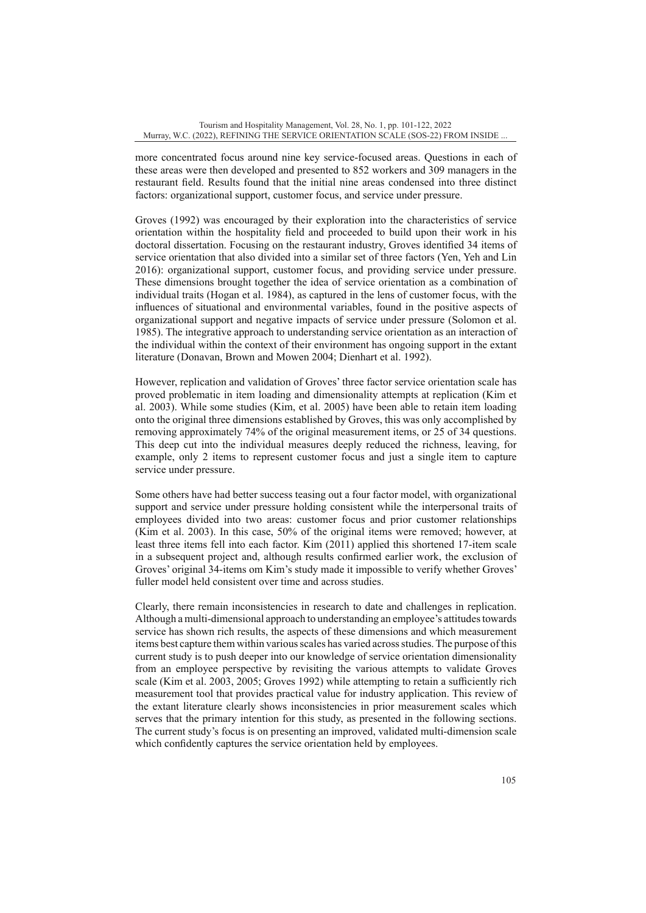more concentrated focus around nine key service-focused areas. Questions in each of these areas were then developed and presented to 852 workers and 309 managers in the restaurant field. Results found that the initial nine areas condensed into three distinct factors: organizational support, customer focus, and service under pressure.

Groves (1992) was encouraged by their exploration into the characteristics of service orientation within the hospitality field and proceeded to build upon their work in his doctoral dissertation. Focusing on the restaurant industry, Groves identified 34 items of service orientation that also divided into a similar set of three factors (Yen, Yeh and Lin 2016): organizational support, customer focus, and providing service under pressure. These dimensions brought together the idea of service orientation as a combination of individual traits (Hogan et al. 1984), as captured in the lens of customer focus, with the influences of situational and environmental variables, found in the positive aspects of organizational support and negative impacts of service under pressure (Solomon et al. 1985). The integrative approach to understanding service orientation as an interaction of the individual within the context of their environment has ongoing support in the extant literature (Donavan, Brown and Mowen 2004; Dienhart et al. 1992).

However, replication and validation of Groves' three factor service orientation scale has proved problematic in item loading and dimensionality attempts at replication (Kim et al. 2003). While some studies (Kim, et al. 2005) have been able to retain item loading onto the original three dimensions established by Groves, this was only accomplished by removing approximately 74% of the original measurement items, or 25 of 34 questions. This deep cut into the individual measures deeply reduced the richness, leaving, for example, only 2 items to represent customer focus and just a single item to capture service under pressure.

Some others have had better success teasing out a four factor model, with organizational support and service under pressure holding consistent while the interpersonal traits of employees divided into two areas: customer focus and prior customer relationships (Kim et al. 2003). In this case, 50% of the original items were removed; however, at least three items fell into each factor. Kim (2011) applied this shortened 17-item scale in a subsequent project and, although results confirmed earlier work, the exclusion of Groves' original 34-items om Kim's study made it impossible to verify whether Groves' fuller model held consistent over time and across studies.

Clearly, there remain inconsistencies in research to date and challenges in replication. Although a multi-dimensional approach to understanding an employee's attitudes towards service has shown rich results, the aspects of these dimensions and which measurement items best capture them within various scales has varied across studies. The purpose of this current study is to push deeper into our knowledge of service orientation dimensionality from an employee perspective by revisiting the various attempts to validate Groves scale (Kim et al. 2003, 2005; Groves 1992) while attempting to retain a sufficiently rich measurement tool that provides practical value for industry application. This review of the extant literature clearly shows inconsistencies in prior measurement scales which serves that the primary intention for this study, as presented in the following sections. The current study's focus is on presenting an improved, validated multi-dimension scale which confidently captures the service orientation held by employees.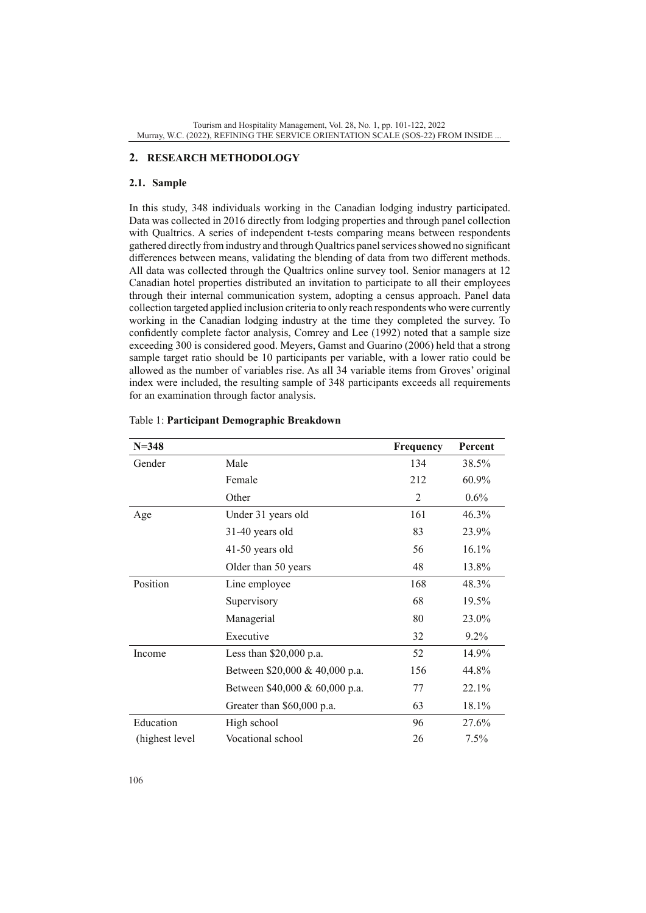# **2. RESEARCH METHODOLOGY**

### **2.1. Sample**

In this study, 348 individuals working in the Canadian lodging industry participated. Data was collected in 2016 directly from lodging properties and through panel collection with Qualtrics. A series of independent t-tests comparing means between respondents gathered directly from industry and through Qualtrics panel services showed no significant differences between means, validating the blending of data from two different methods. All data was collected through the Qualtrics online survey tool. Senior managers at 12 Canadian hotel properties distributed an invitation to participate to all their employees through their internal communication system, adopting a census approach. Panel data collection targeted applied inclusion criteria to only reach respondents who were currently working in the Canadian lodging industry at the time they completed the survey. To confidently complete factor analysis, Comrey and Lee (1992) noted that a sample size exceeding 300 is considered good. Meyers, Gamst and Guarino (2006) held that a strong sample target ratio should be 10 participants per variable, with a lower ratio could be allowed as the number of variables rise. As all 34 variable items from Groves' original index were included, the resulting sample of 348 participants exceeds all requirements for an examination through factor analysis.

| $N = 348$      |                                | Frequency | Percent  |
|----------------|--------------------------------|-----------|----------|
| Gender         | Male                           | 134       | 38.5%    |
|                | Female                         | 212       | 60.9%    |
|                | Other                          | 2         | $0.6\%$  |
| Age            | Under 31 years old             | 161       | 46.3%    |
|                | 31-40 years old                | 83        | 23.9%    |
|                | 41-50 years old                | 56        | $16.1\%$ |
|                | Older than 50 years            | 48        | 13.8%    |
| Position       | Line employee                  | 168       | 48.3%    |
|                | Supervisory                    | 68        | 19.5%    |
|                | Managerial                     | 80        | 23.0%    |
|                | Executive                      | 32        | $9.2\%$  |
| Income         | Less than $$20,000$ p.a.       | 52        | 14.9%    |
|                | Between \$20,000 & 40,000 p.a. | 156       | 44.8%    |
|                | Between \$40,000 & 60,000 p.a. | 77        | 22.1%    |
|                | Greater than \$60,000 p.a.     | 63        | 18.1%    |
| Education      | High school                    | 96        | 27.6%    |
| (highest level | Vocational school              | 26        | $7.5\%$  |

# Table 1: **Participant Demographic Breakdown**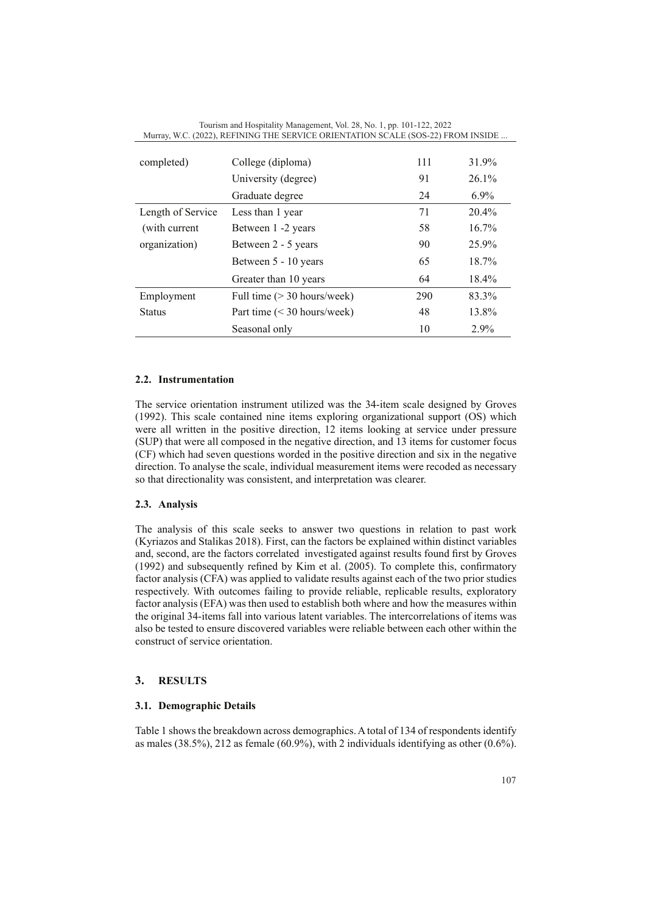| Murray, W.C. (2022), REFINING THE SERVICE ORIENTATION SCALE (SOS-22) FROM INSIDE |                             |     |          |  |
|----------------------------------------------------------------------------------|-----------------------------|-----|----------|--|
|                                                                                  |                             |     |          |  |
| completed)                                                                       | College (diploma)           | 111 | 31.9%    |  |
|                                                                                  | University (degree)         | 91  | 26.1%    |  |
|                                                                                  | Graduate degree             | 24  | $6.9\%$  |  |
| Length of Service                                                                | Less than 1 year            | 71  | 20.4%    |  |
| (with current                                                                    | Between 1 -2 years          | 58  | $16.7\%$ |  |
| organization)                                                                    | Between 2 - 5 years         | 90  | 25.9%    |  |
|                                                                                  | Between 5 - 10 years        | 65  | 18.7%    |  |
|                                                                                  | Greater than 10 years       | 64  | 18.4%    |  |
| Employment                                                                       | Full time (> 30 hours/week) | 290 | 83.3%    |  |
| Status                                                                           | Part time (< 30 hours/week) | 48  | 13.8%    |  |
|                                                                                  | Seasonal only               | 10  | $2.9\%$  |  |

Tourism and Hospitality Management, Vol. 28, No. 1, pp. 101-122, 2022

### **2.2. Instrumentation**

The service orientation instrument utilized was the 34-item scale designed by Groves (1992). This scale contained nine items exploring organizational support (OS) which were all written in the positive direction, 12 items looking at service under pressure (SUP) that were all composed in the negative direction, and 13 items for customer focus (CF) which had seven questions worded in the positive direction and six in the negative direction. To analyse the scale, individual measurement items were recoded as necessary so that directionality was consistent, and interpretation was clearer.

### **2.3. Analysis**

The analysis of this scale seeks to answer two questions in relation to past work (Kyriazos and Stalikas 2018). First, can the factors be explained within distinct variables and, second, are the factors correlated investigated against results found first by Groves (1992) and subsequently refined by Kim et al. (2005). To complete this, confirmatory factor analysis (CFA) was applied to validate results against each of the two prior studies respectively. With outcomes failing to provide reliable, replicable results, exploratory factor analysis (EFA) was then used to establish both where and how the measures within the original 34-items fall into various latent variables. The intercorrelations of items was also be tested to ensure discovered variables were reliable between each other within the construct of service orientation.

## **3. RESULTS**

# **3.1. Demographic Details**

Table 1 shows the breakdown across demographics. A total of 134 of respondents identify as males (38.5%), 212 as female (60.9%), with 2 individuals identifying as other  $(0.6\%)$ .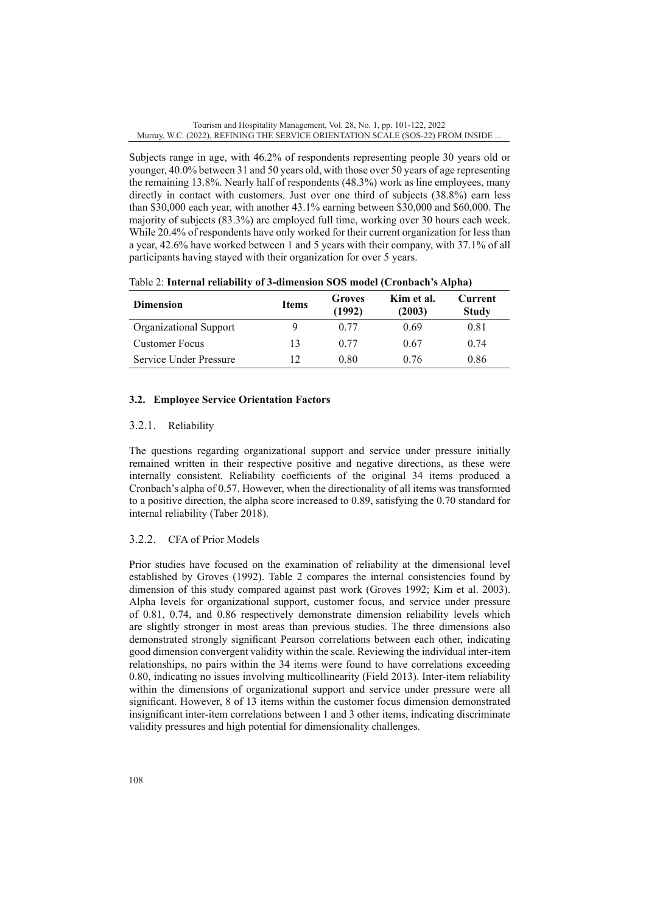Subjects range in age, with 46.2% of respondents representing people 30 years old or younger, 40.0% between 31 and 50 years old, with those over 50 years of age representing the remaining 13.8%. Nearly half of respondents (48.3%) work as line employees, many directly in contact with customers. Just over one third of subjects (38.8%) earn less than \$30,000 each year, with another 43.1% earning between \$30,000 and \$60,000. The majority of subjects (83.3%) are employed full time, working over 30 hours each week. While 20.4% of respondents have only worked for their current organization for less than a year, 42.6% have worked between 1 and 5 years with their company, with 37.1% of all participants having stayed with their organization for over 5 years.

| <b>Dimension</b>       | <b>Items</b> | Groves<br>(1992) | Kim et al.<br>(2003) | <b>Current</b><br><b>Study</b> |
|------------------------|--------------|------------------|----------------------|--------------------------------|
| Organizational Support | 9            | 0.77             | 0.69                 | 0.81                           |
| <b>Customer Focus</b>  | 13           | 0.77             | 0.67                 | 0.74                           |
| Service Under Pressure | 12           | 0.80             | 0.76                 | 0.86                           |

Table 2: **Internal reliability of 3-dimension SOS model (Cronbach's Alpha)**

# **3.2. Employee Service Orientation Factors**

# 3.2.1. Reliability

The questions regarding organizational support and service under pressure initially remained written in their respective positive and negative directions, as these were internally consistent. Reliability coefficients of the original 34 items produced a Cronbach's alpha of 0.57. However, when the directionality of all items was transformed to a positive direction, the alpha score increased to 0.89, satisfying the 0.70 standard for internal reliability (Taber 2018).

# 3.2.2. CFA of Prior Models

Prior studies have focused on the examination of reliability at the dimensional level established by Groves (1992). Table 2 compares the internal consistencies found by dimension of this study compared against past work (Groves 1992; Kim et al. 2003). Alpha levels for organizational support, customer focus, and service under pressure of 0.81, 0.74, and 0.86 respectively demonstrate dimension reliability levels which are slightly stronger in most areas than previous studies. The three dimensions also demonstrated strongly significant Pearson correlations between each other, indicating good dimension convergent validity within the scale. Reviewing the individual inter-item relationships, no pairs within the 34 items were found to have correlations exceeding 0.80, indicating no issues involving multicollinearity (Field 2013). Inter-item reliability within the dimensions of organizational support and service under pressure were all significant. However, 8 of 13 items within the customer focus dimension demonstrated insignificant inter-item correlations between 1 and 3 other items, indicating discriminate validity pressures and high potential for dimensionality challenges.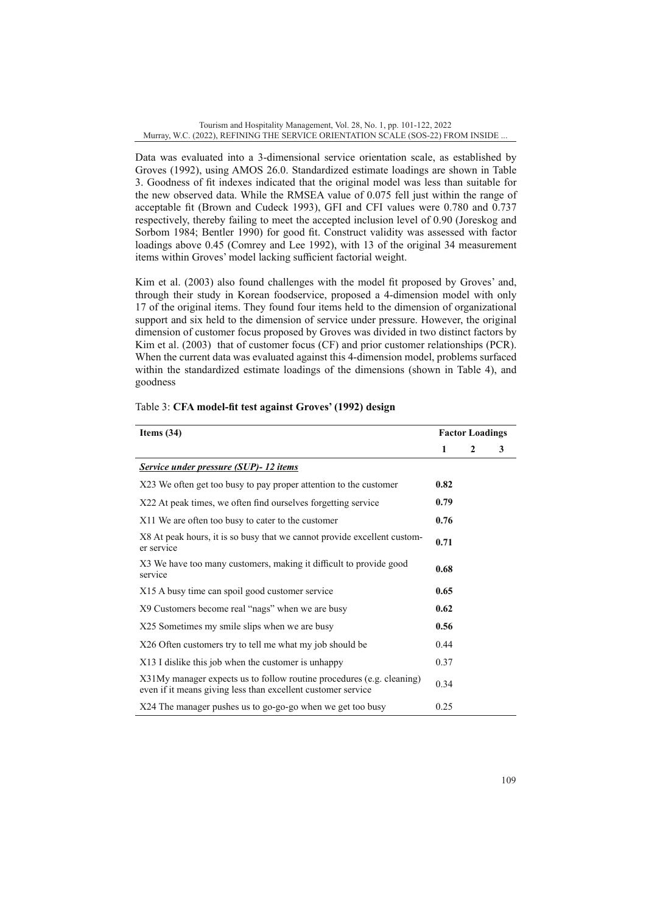Data was evaluated into a 3-dimensional service orientation scale, as established by Groves (1992), using AMOS 26.0. Standardized estimate loadings are shown in Table 3. Goodness of fit indexes indicated that the original model was less than suitable for the new observed data. While the RMSEA value of 0.075 fell just within the range of acceptable fit (Brown and Cudeck 1993), GFI and CFI values were 0.780 and 0.737 respectively, thereby failing to meet the accepted inclusion level of 0.90 (Joreskog and Sorbom 1984; Bentler 1990) for good fit. Construct validity was assessed with factor loadings above 0.45 (Comrey and Lee 1992), with 13 of the original 34 measurement items within Groves' model lacking sufficient factorial weight.

Kim et al. (2003) also found challenges with the model fit proposed by Groves' and, through their study in Korean foodservice, proposed a 4-dimension model with only 17 of the original items. They found four items held to the dimension of organizational support and six held to the dimension of service under pressure. However, the original dimension of customer focus proposed by Groves was divided in two distinct factors by Kim et al. (2003) that of customer focus (CF) and prior customer relationships (PCR). When the current data was evaluated against this 4-dimension model, problems surfaced within the standardized estimate loadings of the dimensions (shown in Table 4), and goodness

| Items $(34)$                                                                                                                          |      | <b>Factor Loadings</b> |   |  |
|---------------------------------------------------------------------------------------------------------------------------------------|------|------------------------|---|--|
|                                                                                                                                       | 1    | 2                      | 3 |  |
| Service under pressure (SUP)- 12 items                                                                                                |      |                        |   |  |
| X23 We often get too busy to pay proper attention to the customer                                                                     | 0.82 |                        |   |  |
| X22 At peak times, we often find ourselves forgetting service                                                                         | 0.79 |                        |   |  |
| X11 We are often too busy to cater to the customer                                                                                    | 0.76 |                        |   |  |
| X8 At peak hours, it is so busy that we cannot provide excellent custom-<br>er service                                                | 0.71 |                        |   |  |
| X3 We have too many customers, making it difficult to provide good<br>service                                                         | 0.68 |                        |   |  |
| X15 A busy time can spoil good customer service                                                                                       | 0.65 |                        |   |  |
| X9 Customers become real "nags" when we are busy                                                                                      | 0.62 |                        |   |  |
| X25 Sometimes my smile slips when we are busy                                                                                         | 0.56 |                        |   |  |
| X26 Often customers try to tell me what my job should be                                                                              | 0.44 |                        |   |  |
| X13 I dislike this job when the customer is unhappy                                                                                   | 0.37 |                        |   |  |
| X31My manager expects us to follow routine procedures (e.g. cleaning)<br>even if it means giving less than excellent customer service | 0.34 |                        |   |  |
| X24 The manager pushes us to go-go-go when we get too busy                                                                            | 0.25 |                        |   |  |

#### Table 3: **CFA model-fit test against Groves' (1992) design**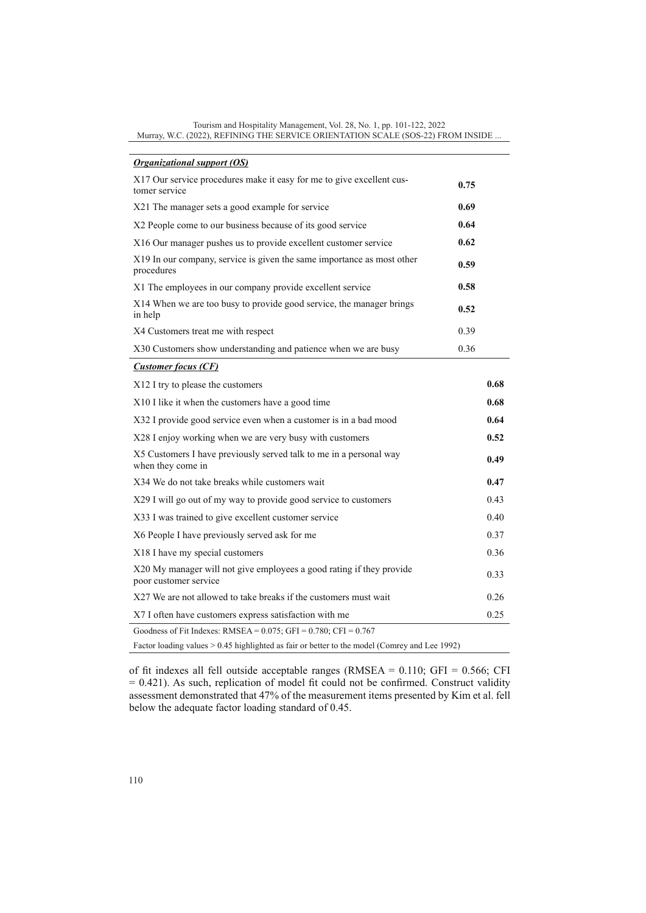| <b>Organizational support (OS)</b>                                                            |      |      |
|-----------------------------------------------------------------------------------------------|------|------|
| X17 Our service procedures make it easy for me to give excellent cus-<br>tomer service        | 0.75 |      |
| X21 The manager sets a good example for service                                               | 0.69 |      |
| X2 People come to our business because of its good service                                    | 0.64 |      |
| X16 Our manager pushes us to provide excellent customer service                               | 0.62 |      |
| X19 In our company, service is given the same importance as most other<br>procedures          | 0.59 |      |
| X1 The employees in our company provide excellent service                                     | 0.58 |      |
| X14 When we are too busy to provide good service, the manager brings<br>in help               | 0.52 |      |
| X4 Customers treat me with respect                                                            | 0.39 |      |
| X30 Customers show understanding and patience when we are busy                                | 0.36 |      |
| <b>Customer focus (CF)</b>                                                                    |      |      |
| X12 I try to please the customers                                                             |      | 0.68 |
| X10 I like it when the customers have a good time                                             |      | 0.68 |
| X32 I provide good service even when a customer is in a bad mood                              |      | 0.64 |
| X28 I enjoy working when we are very busy with customers                                      |      | 0.52 |
| X5 Customers I have previously served talk to me in a personal way<br>when they come in       |      | 0.49 |
| X34 We do not take breaks while customers wait                                                |      | 0.47 |
| X29 I will go out of my way to provide good service to customers                              |      | 0.43 |
| X33 I was trained to give excellent customer service                                          |      | 0.40 |
| X6 People I have previously served ask for me                                                 |      | 0.37 |
| X18 I have my special customers                                                               |      | 0.36 |
| X20 My manager will not give employees a good rating if they provide<br>poor customer service |      | 0.33 |
| X27 We are not allowed to take breaks if the customers must wait                              |      | 0.26 |
| X7 I often have customers express satisfaction with me                                        |      | 0.25 |
| Goodness of Fit Indexes: RMSEA = $0.075$ ; GFI = $0.780$ ; CFI = $0.767$                      |      |      |
| Factor loading values > 0.45 highlighted as fair or better to the model (Comrey and Lee 1992) |      |      |

of fit indexes all fell outside acceptable ranges (RMSEA = 0.110; GFI = 0.566; CFI = 0.421). As such, replication of model fit could not be confirmed. Construct validity assessment demonstrated that 47% of the measurement items presented by Kim et al. fell below the adequate factor loading standard of 0.45.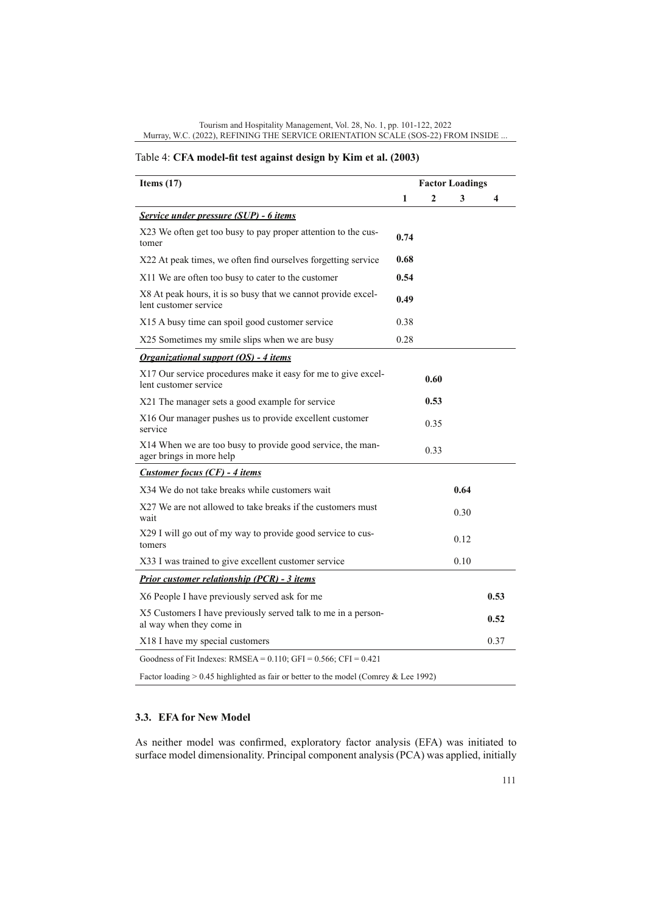#### Tourism and Hospitality Management, Vol. 28, No. 1, pp. 101-122, 2022 Murray, W.C. (2022), REFINING THE SERVICE ORIENTATION SCALE (SOS-22) FROM INSIDE ...

# Table 4: **CFA model-fit test against design by Kim et al. (2003)**

| Items $(17)$                                                                              | <b>Factor Loadings</b> |      |      |      |
|-------------------------------------------------------------------------------------------|------------------------|------|------|------|
|                                                                                           | 1                      | 2    | 3    | 4    |
| Service under pressure (SUP) - 6 items                                                    |                        |      |      |      |
| X23 We often get too busy to pay proper attention to the cus-<br>tomer                    | 0.74                   |      |      |      |
| X22 At peak times, we often find ourselves forgetting service                             | 0.68                   |      |      |      |
| X11 We are often too busy to cater to the customer                                        | 0.54                   |      |      |      |
| X8 At peak hours, it is so busy that we cannot provide excel-<br>lent customer service    | 0.49                   |      |      |      |
| X15 A busy time can spoil good customer service                                           | 0.38                   |      |      |      |
| X25 Sometimes my smile slips when we are busy                                             | 0.28                   |      |      |      |
| <b>Organizational support (OS) - 4 items</b>                                              |                        |      |      |      |
| X17 Our service procedures make it easy for me to give excel-<br>lent customer service    |                        | 0.60 |      |      |
| X21 The manager sets a good example for service                                           |                        | 0.53 |      |      |
| X16 Our manager pushes us to provide excellent customer<br>service                        |                        | 0.35 |      |      |
| X14 When we are too busy to provide good service, the man-<br>ager brings in more help    |                        | 0.33 |      |      |
| <b>Customer focus (CF) - 4 items</b>                                                      |                        |      |      |      |
| X34 We do not take breaks while customers wait                                            |                        |      | 0.64 |      |
| X27 We are not allowed to take breaks if the customers must<br>wait                       |                        |      | 0.30 |      |
| X29 I will go out of my way to provide good service to cus-<br>tomers                     |                        |      | 0.12 |      |
| X33 I was trained to give excellent customer service                                      |                        |      | 0.10 |      |
| <b>Prior customer relationship (PCR) - 3 items</b>                                        |                        |      |      |      |
| X6 People I have previously served ask for me                                             |                        |      |      | 0.53 |
| X5 Customers I have previously served talk to me in a person-<br>al way when they come in |                        |      |      | 0.52 |
| X18 I have my special customers                                                           |                        |      |      | 0.37 |
| Goodness of Fit Indexes: $RMSEA = 0.110$ ; GFI = 0.566; CFI = 0.421                       |                        |      |      |      |
| Factor loading $> 0.45$ highlighted as fair or better to the model (Comrey & Lee 1992)    |                        |      |      |      |

# **3.3. EFA for New Model**

As neither model was confirmed, exploratory factor analysis (EFA) was initiated to surface model dimensionality. Principal component analysis (PCA) was applied, initially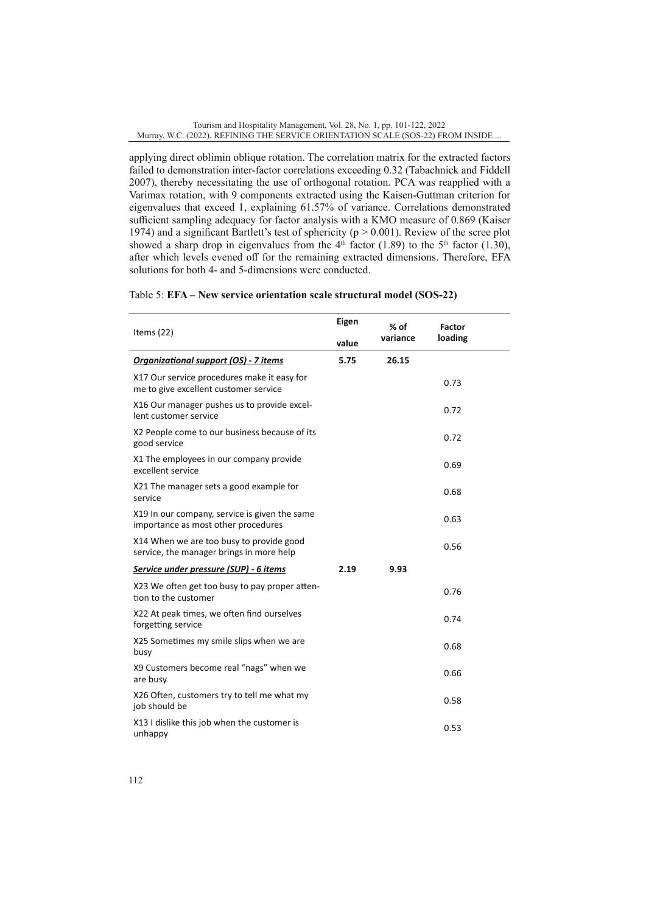applying direct oblimin oblique rotation. The correlation matrix for the extracted factors failed to demonstration inter-factor correlations exceeding 0.32 (Tabachnick and Fiddell 2007), thereby necessitating the use of orthogonal rotation. PCA was reapplied with a Varimax rotation, with 9 components extracted using the Kaisen-Guttman criterion for eigenvalues that exceed 1, explaining 61.57% of variance. Correlations demonstrated sufficient sampling adequacy for factor analysis with a KMO measure of 0.869 (Kaiser 1974) and a significant Bartlett's test of sphericity ( $p > 0.001$ ). Review of the scree plot showed a sharp drop in eigenvalues from the  $4<sup>th</sup>$  factor (1.89) to the  $5<sup>th</sup>$  factor (1.30), after which levels evened off for the remaining extracted dimensions. Therefore, EFA solutions for both 4- and 5-dimensions were conducted.

# Table 5: **EFA – New service orientation scale structural model (SOS-22)**

| Items $(22)$                                                                         | Eigen | % of     | <b>Factor</b> |  |
|--------------------------------------------------------------------------------------|-------|----------|---------------|--|
|                                                                                      | value | variance | loading       |  |
| Organizational support (OS) - 7 items                                                | 5.75  | 26.15    |               |  |
| X17 Our service procedures make it easy for<br>me to give excellent customer service |       |          | 0.73          |  |
| X16 Our manager pushes us to provide excel-<br>lent customer service                 |       |          | 0.72          |  |
| X2 People come to our business because of its<br>good service                        |       |          | 0.72          |  |
| X1 The employees in our company provide<br>excellent service                         |       |          | 0.69          |  |
| X21 The manager sets a good example for<br>service                                   |       |          | 0.68          |  |
| X19 In our company, service is given the same<br>importance as most other procedures |       |          | 0.63          |  |
| X14 When we are too busy to provide good<br>service, the manager brings in more help |       |          | 0.56          |  |
| Service under pressure (SUP) - 6 items                                               | 2.19  | 9.93     |               |  |
| X23 We often get too busy to pay proper atten-<br>tion to the customer               |       |          | 0.76          |  |
| X22 At peak times, we often find ourselves<br>forgetting service                     |       |          | 0.74          |  |
| X25 Sometimes my smile slips when we are<br>busy                                     |       |          | 0.68          |  |
| X9 Customers become real "nags" when we<br>are busy                                  |       |          | 0.66          |  |
| X26 Often, customers try to tell me what my<br>job should be                         |       |          | 0.58          |  |
| X13 I dislike this job when the customer is<br>unhappy                               |       |          | 0.53          |  |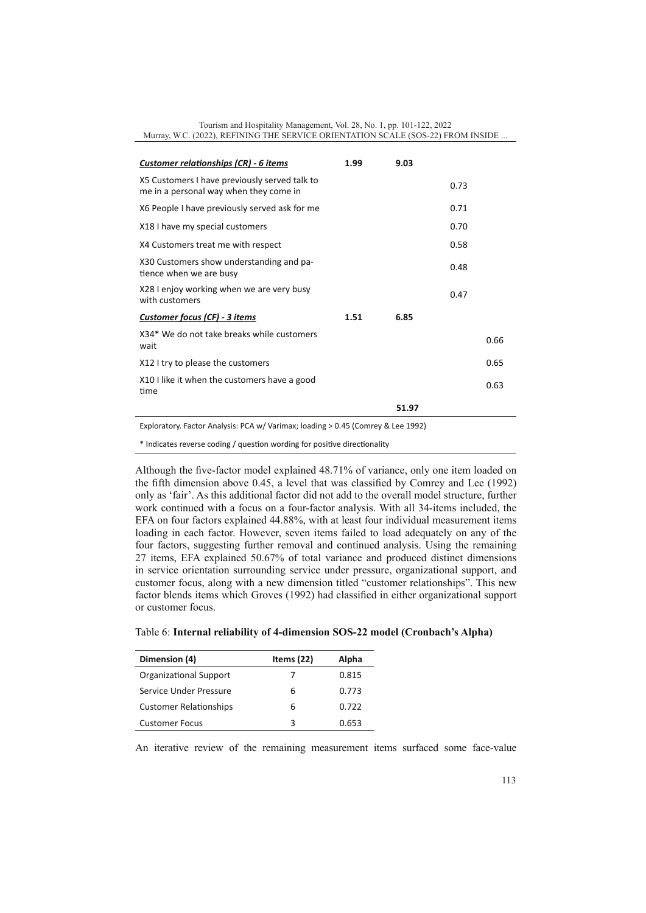| Tourism and Hospitality Management, Vol. 28, No. 1, pp. 101-122, 2022            |
|----------------------------------------------------------------------------------|
| Murray, W.C. (2022), REFINING THE SERVICE ORIENTATION SCALE (SOS-22) FROM INSIDE |

| Customer relationships (CR) - 6 items                                                   | 1.99 | 9.03  |      |      |
|-----------------------------------------------------------------------------------------|------|-------|------|------|
| X5 Customers I have previously served talk to<br>me in a personal way when they come in |      |       | 0.73 |      |
| X6 People I have previously served ask for me                                           |      |       | 0.71 |      |
| X18 I have my special customers                                                         |      |       | 0.70 |      |
| X4 Customers treat me with respect                                                      |      |       | 0.58 |      |
| X30 Customers show understanding and pa-<br>tience when we are busy                     |      |       | 0.48 |      |
| X28 I enjoy working when we are very busy<br>with customers                             |      |       | 0.47 |      |
| <b>Customer focus (CF) - 3 items</b>                                                    | 1.51 | 6.85  |      |      |
| X34* We do not take breaks while customers<br>wait                                      |      |       |      | 0.66 |
| X12 I try to please the customers                                                       |      |       |      | 0.65 |
| X10 I like it when the customers have a good<br>time                                    |      |       |      | 0.63 |
|                                                                                         |      | 51.97 |      |      |
|                                                                                         |      |       |      |      |

Exploratory. Factor Analysis: PCA w/ Varimax; loading > 0.45 (Comrey & Lee 1992)

\* Indicates reverse coding / question wording for positive directionality

Although the five-factor model explained 48.71% of variance, only one item loaded on the fifth dimension above 0.45, a level that was classified by Comrey and Lee (1992) only as 'fair'. As this additional factor did not add to the overall model structure, further work continued with a focus on a four-factor analysis. With all 34-items included, the EFA on four factors explained 44.88%, with at least four individual measurement items loading in each factor. However, seven items failed to load adequately on any of the four factors, suggesting further removal and continued analysis. Using the remaining 27 items, EFA explained 50.67% of total variance and produced distinct dimensions in service orientation surrounding service under pressure, organizational support, and customer focus, along with a new dimension titled "customer relationships". This new factor blends items which Groves (1992) had classified in either organizational support or customer focus.

| Table 6: Internal reliability of 4-dimension SOS-22 model (Cronbach's Alpha) |  |  |
|------------------------------------------------------------------------------|--|--|
|                                                                              |  |  |

| Dimension (4)                 | Items $(22)$ | Alpha |
|-------------------------------|--------------|-------|
| Organizational Support        | $\prime$     | 0.815 |
| Service Under Pressure        | 6            | 0.773 |
| <b>Customer Relationships</b> | 6            | 0.722 |
| <b>Customer Focus</b>         | 3            | 0.653 |

An iterative review of the remaining measurement items surfaced some face-value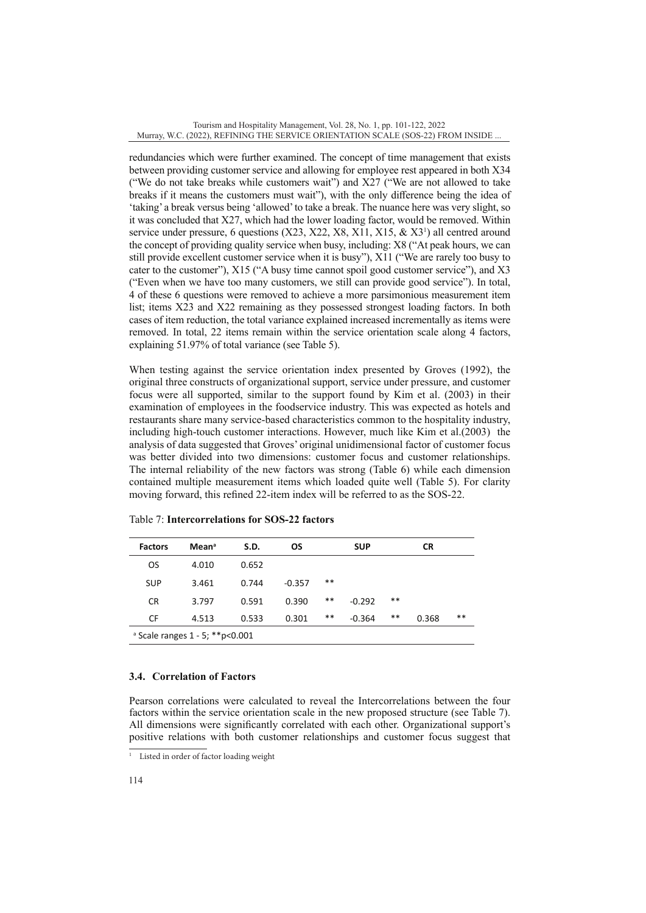redundancies which were further examined. The concept of time management that exists between providing customer service and allowing for employee rest appeared in both X34 ("We do not take breaks while customers wait") and X27 ("We are not allowed to take breaks if it means the customers must wait"), with the only difference being the idea of 'taking' a break versus being 'allowed' to take a break. The nuance here was very slight, so it was concluded that X27, which had the lower loading factor, would be removed. Within service under pressure, 6 questions  $(X23, X22, X8, X11, X15, \& X3<sup>1</sup>)$  all centred around the concept of providing quality service when busy, including: X8 ("At peak hours, we can still provide excellent customer service when it is busy"), X11 ("We are rarely too busy to cater to the customer"), X15 ("A busy time cannot spoil good customer service"), and X3 ("Even when we have too many customers, we still can provide good service"). In total, 4 of these 6 questions were removed to achieve a more parsimonious measurement item list; items X23 and X22 remaining as they possessed strongest loading factors. In both cases of item reduction, the total variance explained increased incrementally as items were removed. In total, 22 items remain within the service orientation scale along 4 factors, explaining 51.97% of total variance (see Table 5).

When testing against the service orientation index presented by Groves (1992), the original three constructs of organizational support, service under pressure, and customer focus were all supported, similar to the support found by Kim et al. (2003) in their examination of employees in the foodservice industry. This was expected as hotels and restaurants share many service-based characteristics common to the hospitality industry, including high-touch customer interactions. However, much like Kim et al.(2003) the analysis of data suggested that Groves' original unidimensional factor of customer focus was better divided into two dimensions: customer focus and customer relationships. The internal reliability of the new factors was strong (Table 6) while each dimension contained multiple measurement items which loaded quite well (Table 5). For clarity moving forward, this refined 22-item index will be referred to as the SOS-22.

| <b>Factors</b>                               | Mean <sup>a</sup> | S.D.  | OS       |       | <b>SUP</b> |    | <b>CR</b> |    |
|----------------------------------------------|-------------------|-------|----------|-------|------------|----|-----------|----|
| <b>OS</b>                                    | 4.010             | 0.652 |          |       |            |    |           |    |
| <b>SUP</b>                                   | 3.461             | 0.744 | $-0.357$ | $* *$ |            |    |           |    |
| <b>CR</b>                                    | 3.797             | 0.591 | 0.390    | **    | $-0.292$   | ** |           |    |
| CF                                           | 4.513             | 0.533 | 0.301    | **    | $-0.364$   | ** | 0.368     | ** |
| <sup>a</sup> Scale ranges 1 - 5; ** p< 0.001 |                   |       |          |       |            |    |           |    |

Table 7: **Intercorrelations for SOS-22 factors**

## **3.4. Correlation of Factors**

Pearson correlations were calculated to reveal the Intercorrelations between the four factors within the service orientation scale in the new proposed structure (see Table 7). All dimensions were significantly correlated with each other. Organizational support's positive relations with both customer relationships and customer focus suggest that

<sup>&</sup>lt;sup>1</sup> Listed in order of factor loading weight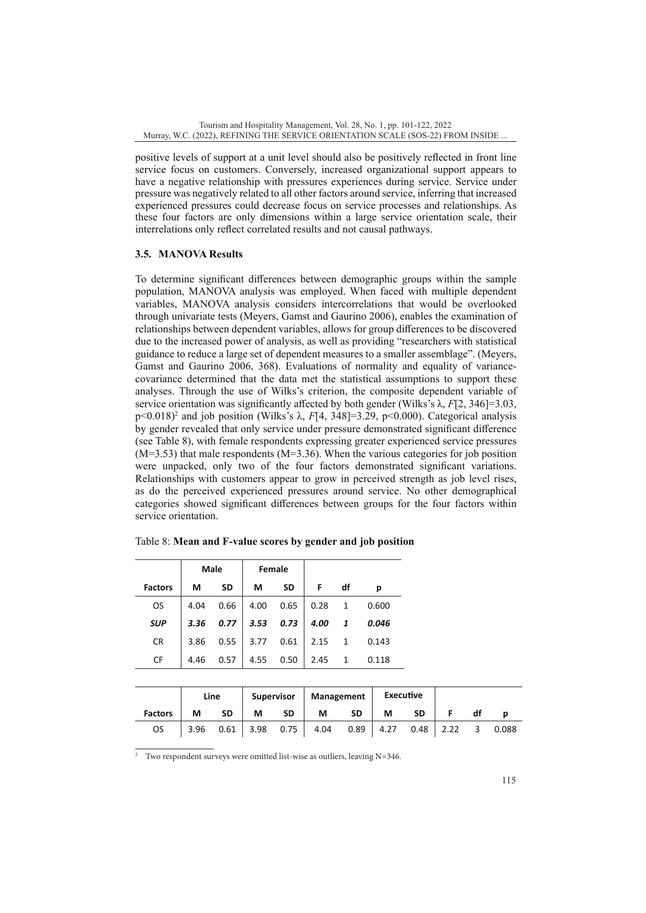positive levels of support at a unit level should also be positively reflected in front line service focus on customers. Conversely, increased organizational support appears to have a negative relationship with pressures experiences during service. Service under pressure was negatively related to all other factors around service, inferring that increased experienced pressures could decrease focus on service processes and relationships. As these four factors are only dimensions within a large service orientation scale, their interrelations only reflect correlated results and not causal pathways.

# **3.5. MANOVA Results**

To determine significant differences between demographic groups within the sample population, MANOVA analysis was employed. When faced with multiple dependent variables, MANOVA analysis considers intercorrelations that would be overlooked through univariate tests (Meyers, Gamst and Gaurino 2006), enables the examination of relationships between dependent variables, allows for group differences to be discovered due to the increased power of analysis, as well as providing "researchers with statistical guidance to reduce a large set of dependent measures to a smaller assemblage". (Meyers, Gamst and Gaurino 2006, 368). Evaluations of normality and equality of variancecovariance determined that the data met the statistical assumptions to support these analyses. Through the use of Wilks's criterion, the composite dependent variable of service orientation was significantly affected by both gender (Wilks's  $\lambda$ , *F*[2, 346]=3.03, p<0.018)<sup>2</sup> and job position (Wilks's λ, *F*[4, 348]=3.29, p<0.000). Categorical analysis by gender revealed that only service under pressure demonstrated significant difference (see Table 8), with female respondents expressing greater experienced service pressures (M=3.53) that male respondents (M=3.36). When the various categories for job position were unpacked, only two of the four factors demonstrated significant variations. Relationships with customers appear to grow in perceived strength as job level rises, as do the perceived experienced pressures around service. No other demographical categories showed significant differences between groups for the four factors within service orientation.

|                | <b>Male</b> |           |      | Female    |      |    |       |
|----------------|-------------|-----------|------|-----------|------|----|-------|
| <b>Factors</b> | М           | <b>SD</b> | М    | <b>SD</b> | F    | df | р     |
| <b>OS</b>      | 4.04        | 0.66      | 4.00 | 0.65      | 0.28 | 1  | 0.600 |
| <b>SUP</b>     | 3.36        | 0.77      | 3.53 | 0.73      | 4.00 | 1  | 0.046 |
| <b>CR</b>      | 3.86        | 0.55      | 3.77 | 0.61      | 2.15 | 1  | 0.143 |
| CF             | 4.46        | 0.57      | 4.55 | 0.50      | 2.45 | 1  | 0.118 |

Table 8: **Mean and F-value scores by gender and job position**

|                | Supervisor<br>Line |           | Management |           | Executive                            |           |   |             |    |       |
|----------------|--------------------|-----------|------------|-----------|--------------------------------------|-----------|---|-------------|----|-------|
| <b>Factors</b> | M                  | <b>SD</b> | M          | <b>SD</b> | М                                    | <b>SD</b> | М | <b>SD</b>   | df |       |
| OS             |                    |           |            |           | 3.96 $0.61$ 3.98 0.75 4.04 0.89 4.27 |           |   | $0.48$ 2.22 | 3  | 0.088 |

2 Two respondent surveys were omitted list-wise as outliers, leaving N=346.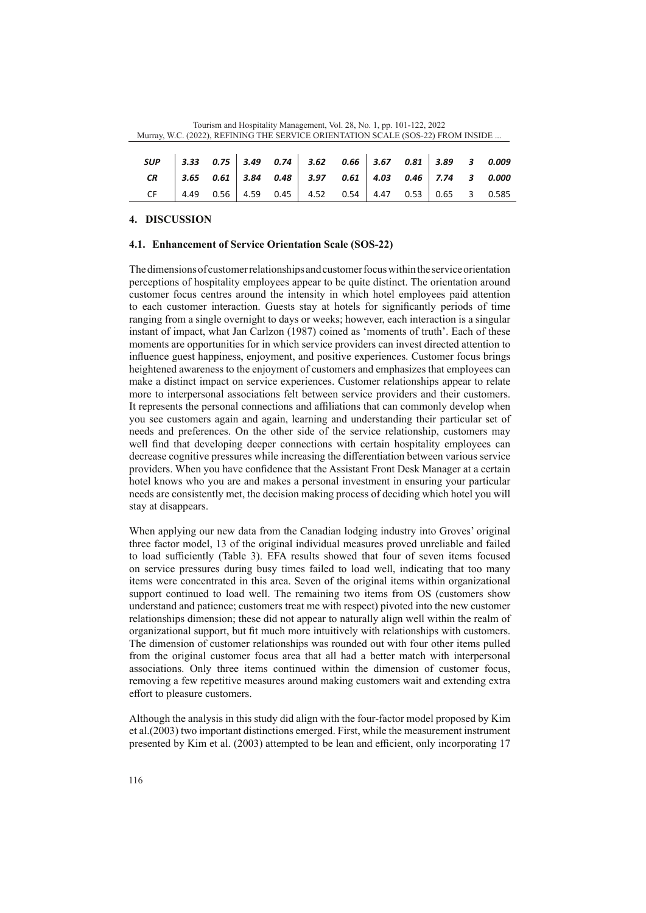| SUP 3.33 0.75 3.49 0.74 3.62 0.66 3.67 0.81 3.89 3 0.009<br>CR 3.65 0.61 3.84 0.48 3.97 0.61 4.03 0.46 7.74 3 0.000<br>CF 4.49 0.56 4.59 0.45 4.52 0.54 4.47 0.53 0.65 3 0.585 |  |  |  |  |  |  |
|--------------------------------------------------------------------------------------------------------------------------------------------------------------------------------|--|--|--|--|--|--|
|                                                                                                                                                                                |  |  |  |  |  |  |
|                                                                                                                                                                                |  |  |  |  |  |  |

Tourism and Hospitality Management, Vol. 28, No. 1, pp. 101-122, 2022 Murray, W.C. (2022), REFINING THE SERVICE ORIENTATION SCALE (SOS-22) FROM INSIDE ...

## **4. DISCUSSION**

# **4.1. Enhancement of Service Orientation Scale (SOS-22)**

The dimensions of customer relationships and customer focus within the service orientation perceptions of hospitality employees appear to be quite distinct. The orientation around customer focus centres around the intensity in which hotel employees paid attention to each customer interaction. Guests stay at hotels for significantly periods of time ranging from a single overnight to days or weeks; however, each interaction is a singular instant of impact, what Jan Carlzon (1987) coined as 'moments of truth'. Each of these moments are opportunities for in which service providers can invest directed attention to influence guest happiness, enjoyment, and positive experiences. Customer focus brings heightened awareness to the enjoyment of customers and emphasizes that employees can make a distinct impact on service experiences. Customer relationships appear to relate more to interpersonal associations felt between service providers and their customers. It represents the personal connections and affiliations that can commonly develop when you see customers again and again, learning and understanding their particular set of needs and preferences. On the other side of the service relationship, customers may well find that developing deeper connections with certain hospitality employees can decrease cognitive pressures while increasing the differentiation between various service providers. When you have confidence that the Assistant Front Desk Manager at a certain hotel knows who you are and makes a personal investment in ensuring your particular needs are consistently met, the decision making process of deciding which hotel you will stay at disappears.

When applying our new data from the Canadian lodging industry into Groves' original three factor model, 13 of the original individual measures proved unreliable and failed to load sufficiently (Table 3). EFA results showed that four of seven items focused on service pressures during busy times failed to load well, indicating that too many items were concentrated in this area. Seven of the original items within organizational support continued to load well. The remaining two items from OS (customers show understand and patience; customers treat me with respect) pivoted into the new customer relationships dimension; these did not appear to naturally align well within the realm of organizational support, but fit much more intuitively with relationships with customers. The dimension of customer relationships was rounded out with four other items pulled from the original customer focus area that all had a better match with interpersonal associations. Only three items continued within the dimension of customer focus, removing a few repetitive measures around making customers wait and extending extra effort to pleasure customers.

Although the analysis in this study did align with the four-factor model proposed by Kim et al.(2003) two important distinctions emerged. First, while the measurement instrument presented by Kim et al. (2003) attempted to be lean and efficient, only incorporating 17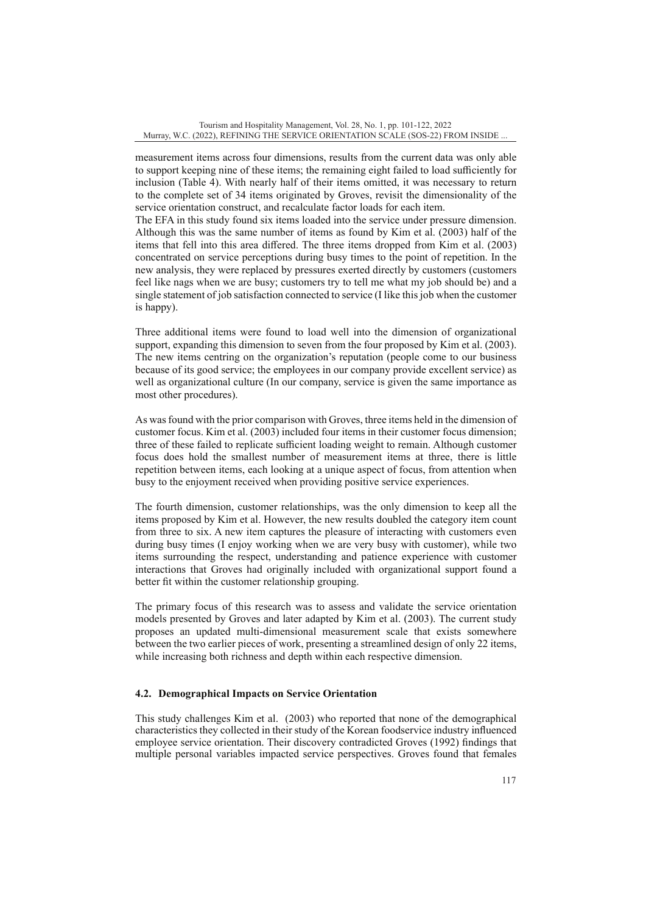measurement items across four dimensions, results from the current data was only able to support keeping nine of these items; the remaining eight failed to load sufficiently for inclusion (Table 4). With nearly half of their items omitted, it was necessary to return to the complete set of 34 items originated by Groves, revisit the dimensionality of the service orientation construct, and recalculate factor loads for each item.

The EFA in this study found six items loaded into the service under pressure dimension. Although this was the same number of items as found by Kim et al. (2003) half of the items that fell into this area differed. The three items dropped from Kim et al. (2003) concentrated on service perceptions during busy times to the point of repetition. In the new analysis, they were replaced by pressures exerted directly by customers (customers feel like nags when we are busy; customers try to tell me what my job should be) and a single statement of job satisfaction connected to service (I like this job when the customer is happy).

Three additional items were found to load well into the dimension of organizational support, expanding this dimension to seven from the four proposed by Kim et al. (2003). The new items centring on the organization's reputation (people come to our business because of its good service; the employees in our company provide excellent service) as well as organizational culture (In our company, service is given the same importance as most other procedures).

As was found with the prior comparison with Groves, three items held in the dimension of customer focus. Kim et al. (2003) included four items in their customer focus dimension; three of these failed to replicate sufficient loading weight to remain. Although customer focus does hold the smallest number of measurement items at three, there is little repetition between items, each looking at a unique aspect of focus, from attention when busy to the enjoyment received when providing positive service experiences.

The fourth dimension, customer relationships, was the only dimension to keep all the items proposed by Kim et al. However, the new results doubled the category item count from three to six. A new item captures the pleasure of interacting with customers even during busy times (I enjoy working when we are very busy with customer), while two items surrounding the respect, understanding and patience experience with customer interactions that Groves had originally included with organizational support found a better fit within the customer relationship grouping.

The primary focus of this research was to assess and validate the service orientation models presented by Groves and later adapted by Kim et al. (2003). The current study proposes an updated multi-dimensional measurement scale that exists somewhere between the two earlier pieces of work, presenting a streamlined design of only 22 items, while increasing both richness and depth within each respective dimension.

# **4.2. Demographical Impacts on Service Orientation**

This study challenges Kim et al. (2003) who reported that none of the demographical characteristics they collected in their study of the Korean foodservice industry influenced employee service orientation. Their discovery contradicted Groves (1992) findings that multiple personal variables impacted service perspectives. Groves found that females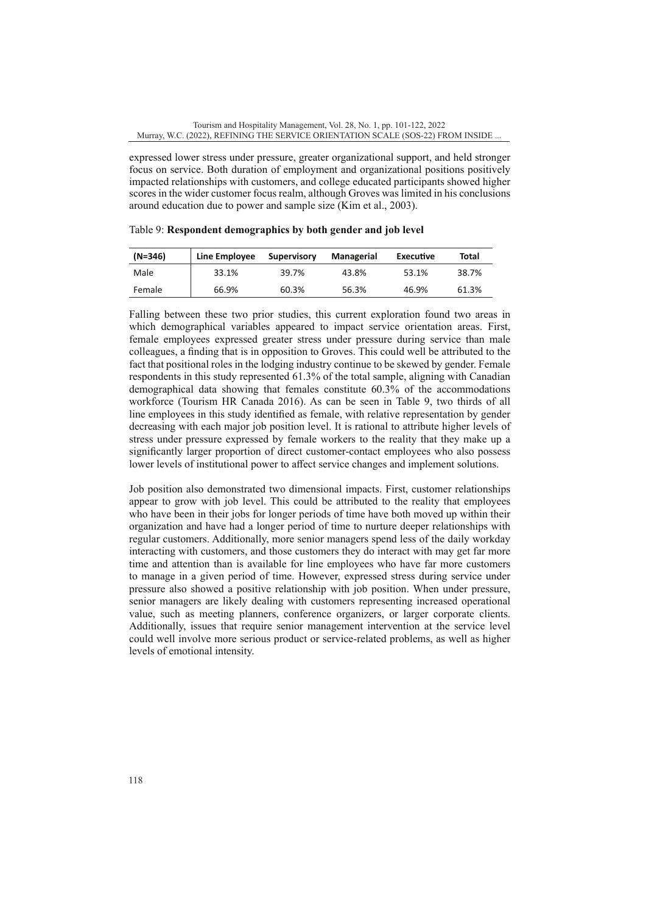expressed lower stress under pressure, greater organizational support, and held stronger focus on service. Both duration of employment and organizational positions positively impacted relationships with customers, and college educated participants showed higher scores in the wider customer focus realm, although Groves was limited in his conclusions around education due to power and sample size (Kim et al., 2003).

| $(N=346)$ | Line Employee | Supervisory | Managerial | Executive | Total |
|-----------|---------------|-------------|------------|-----------|-------|
| Male      | 33.1%         | 39.7%       | 43.8%      | 53.1%     | 38.7% |
| Female    | 66.9%         | 60.3%       | 56.3%      | 46.9%     | 61.3% |

Table 9: **Respondent demographics by both gender and job level**

Falling between these two prior studies, this current exploration found two areas in which demographical variables appeared to impact service orientation areas. First, female employees expressed greater stress under pressure during service than male colleagues, a finding that is in opposition to Groves. This could well be attributed to the fact that positional roles in the lodging industry continue to be skewed by gender. Female respondents in this study represented 61.3% of the total sample, aligning with Canadian demographical data showing that females constitute 60.3% of the accommodations workforce (Tourism HR Canada 2016). As can be seen in Table 9, two thirds of all line employees in this study identified as female, with relative representation by gender decreasing with each major job position level. It is rational to attribute higher levels of stress under pressure expressed by female workers to the reality that they make up a significantly larger proportion of direct customer-contact employees who also possess lower levels of institutional power to affect service changes and implement solutions.

Job position also demonstrated two dimensional impacts. First, customer relationships appear to grow with job level. This could be attributed to the reality that employees who have been in their jobs for longer periods of time have both moved up within their organization and have had a longer period of time to nurture deeper relationships with regular customers. Additionally, more senior managers spend less of the daily workday interacting with customers, and those customers they do interact with may get far more time and attention than is available for line employees who have far more customers to manage in a given period of time. However, expressed stress during service under pressure also showed a positive relationship with job position. When under pressure, senior managers are likely dealing with customers representing increased operational value, such as meeting planners, conference organizers, or larger corporate clients. Additionally, issues that require senior management intervention at the service level could well involve more serious product or service-related problems, as well as higher levels of emotional intensity.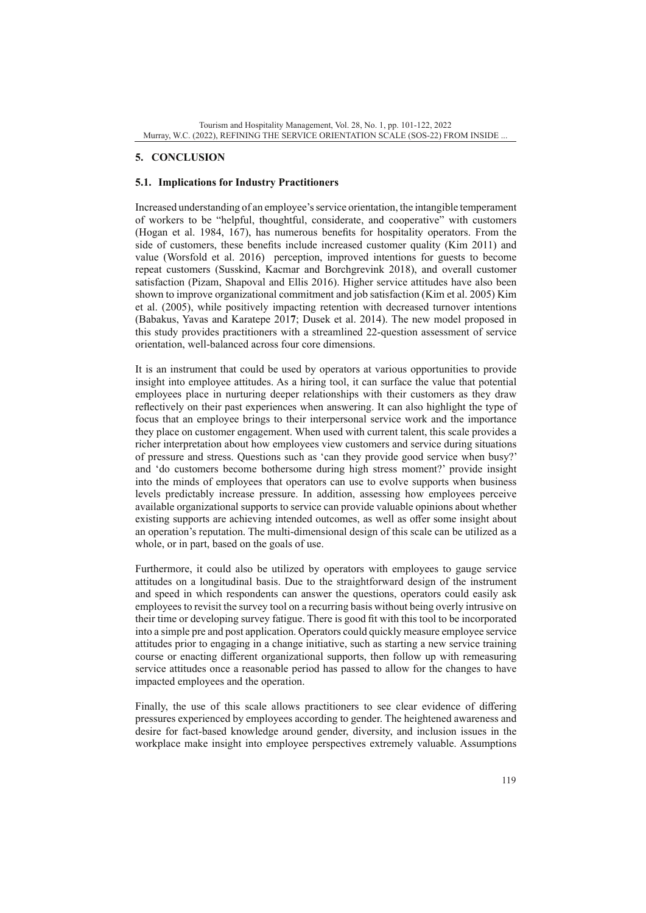# **5. CONCLUSION**

# **5.1. Implications for Industry Practitioners**

Increased understanding of an employee's service orientation, the intangible temperament of workers to be "helpful, thoughtful, considerate, and cooperative" with customers (Hogan et al. 1984, 167), has numerous benefits for hospitality operators. From the side of customers, these benefits include increased customer quality (Kim 2011) and value (Worsfold et al. 2016) perception, improved intentions for guests to become repeat customers (Susskind, Kacmar and Borchgrevink 2018), and overall customer satisfaction (Pizam, Shapoval and Ellis 2016). Higher service attitudes have also been shown to improve organizational commitment and job satisfaction (Kim et al. 2005) Kim et al. (2005), while positively impacting retention with decreased turnover intentions (Babakus, Yavas and Karatepe 201**7**; Dusek et al. 2014). The new model proposed in this study provides practitioners with a streamlined 22-question assessment of service orientation, well-balanced across four core dimensions.

It is an instrument that could be used by operators at various opportunities to provide insight into employee attitudes. As a hiring tool, it can surface the value that potential employees place in nurturing deeper relationships with their customers as they draw reflectively on their past experiences when answering. It can also highlight the type of focus that an employee brings to their interpersonal service work and the importance they place on customer engagement. When used with current talent, this scale provides a richer interpretation about how employees view customers and service during situations of pressure and stress. Questions such as 'can they provide good service when busy?' and 'do customers become bothersome during high stress moment?' provide insight into the minds of employees that operators can use to evolve supports when business levels predictably increase pressure. In addition, assessing how employees perceive available organizational supports to service can provide valuable opinions about whether existing supports are achieving intended outcomes, as well as offer some insight about an operation's reputation. The multi-dimensional design of this scale can be utilized as a whole, or in part, based on the goals of use.

Furthermore, it could also be utilized by operators with employees to gauge service attitudes on a longitudinal basis. Due to the straightforward design of the instrument and speed in which respondents can answer the questions, operators could easily ask employees to revisit the survey tool on a recurring basis without being overly intrusive on their time or developing survey fatigue. There is good fit with this tool to be incorporated into a simple pre and post application. Operators could quickly measure employee service attitudes prior to engaging in a change initiative, such as starting a new service training course or enacting different organizational supports, then follow up with remeasuring service attitudes once a reasonable period has passed to allow for the changes to have impacted employees and the operation.

Finally, the use of this scale allows practitioners to see clear evidence of differing pressures experienced by employees according to gender. The heightened awareness and desire for fact-based knowledge around gender, diversity, and inclusion issues in the workplace make insight into employee perspectives extremely valuable. Assumptions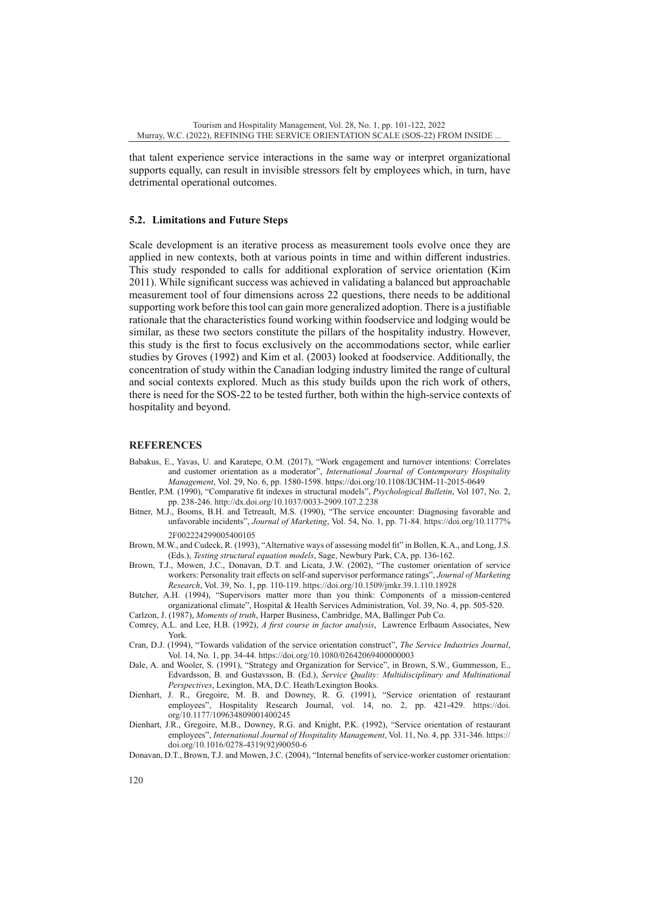that talent experience service interactions in the same way or interpret organizational supports equally, can result in invisible stressors felt by employees which, in turn, have detrimental operational outcomes.

#### **5.2. Limitations and Future Steps**

Scale development is an iterative process as measurement tools evolve once they are applied in new contexts, both at various points in time and within different industries. This study responded to calls for additional exploration of service orientation (Kim 2011). While significant success was achieved in validating a balanced but approachable measurement tool of four dimensions across 22 questions, there needs to be additional supporting work before this tool can gain more generalized adoption. There is a justifiable rationale that the characteristics found working within foodservice and lodging would be similar, as these two sectors constitute the pillars of the hospitality industry. However, this study is the first to focus exclusively on the accommodations sector, while earlier studies by Groves (1992) and Kim et al. (2003) looked at foodservice. Additionally, the concentration of study within the Canadian lodging industry limited the range of cultural and social contexts explored. Much as this study builds upon the rich work of others, there is need for the SOS-22 to be tested further, both within the high-service contexts of hospitality and beyond.

#### **REFERENCES**

- Babakus, E., Yavas, U. and Karatepe, O.M. (2017), "Work engagement and turnover intentions: Correlates and customer orientation as a moderator", *International Journal of Contemporary Hospitality Management*, Vol. 29, No. 6, pp. 1580-1598.<https://doi.org/10.1108/IJCHM-11-2015-0649>
- Bentler, P.M. (1990), "Comparative fit indexes in structural models", *Psychological Bulletin*, Vol 107, No. 2, pp. 238-246. <http://dx.doi.org/10.1037/0033-2909.107.2.238>
- Bitner, M.J., Booms, B.H. and Tetreault, M.S. (1990), "The service encounter: Diagnosing favorable and unfavorable incidents", *Journal of Marketing*, Vol. 54, No. 1, pp. 71-84. [https://doi.org/10.1177%](https://doi.org/10.1177%2F002224299005400105) [2F002224299005400105](https://doi.org/10.1177%2F002224299005400105)
- Brown, M.W., and Cudeck, R. (1993), "Alternative ways of assessing model fit" in Bollen, K.A., and Long, J.S. (Eds.), *Testing structural equation models*, Sage, Newbury Park, CA, pp. 136-162.
- Brown, T.J., Mowen, J.C., Donavan, D.T. and Licata, J.W. (2002), "The customer orientation of service workers: Personality trait effects on self-and supervisor performance ratings", *Journal of Marketing Research*, Vol. 39, No. 1, pp. 110-119.<https://doi.org/10.1509/jmkr.39.1.110.18928>
- Butcher, A.H. (1994), "Supervisors matter more than you think: Components of a mission-centered organizational climate", Hospital & Health Services Administration, Vol. 39, No. 4, pp. 505-520.
- Carlzon, J. (1987), *Moments of truth*, Harper Business, Cambridge, MA, Ballinger Pub Co. Comrey, A.L. and Lee, H.B. (1992), *A first course in factor analysis*, Lawrence Erlbaum Associates, New
- York. Cran, D.J. (1994), "Towards validation of the service orientation construct", *The Service Industries Journal*, Vol. 14, No. 1, pp. 34-44.<https://doi.org/10.1080/02642069400000003>
- Dale, A. and Wooler, S. (1991), "Strategy and Organization for Service", in Brown, S.W., Gummesson, E., Edvardsson, B. and Gustavsson, B. (Ed.), *Service Quality: Multidisciplinary and Multinational Perspectives*, Lexington, MA, D.C. Heath/Lexington Books.
- Dienhart, J. R., Gregoire, M. B. and Downey, R. G. (1991), "Service orientation of restaurant employees", Hospitality Research Journal, vol. 14, no. 2, pp. 421-429. [https://doi.](https://doi.org/10.1177/109634809001400245) [org/10.1177/109634809001400245](https://doi.org/10.1177/109634809001400245)
- Dienhart, J.R., Gregoire, M.B., Downey, R.G. and Knight, P.K. (1992), "Service orientation of restaurant employees", *International Journal of Hospitality Management*, Vol. 11, No. 4, pp. 331-346. [https://](https://doi.org/10.1016/0278-4319(92)90050-6) [doi.org/10.1016/0278-4319\(92\)90050-6](https://doi.org/10.1016/0278-4319(92)90050-6)
- Donavan, D.T., Brown, T.J. and Mowen, J.C. (2004), "Internal benefits of service-worker customer orientation: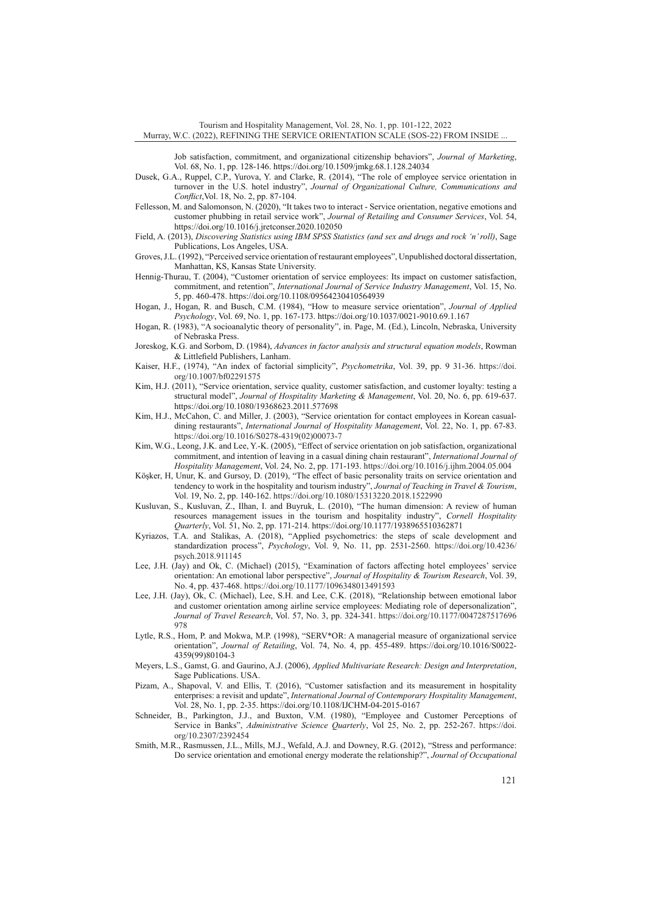Tourism and Hospitality Management, Vol. 28, No. 1, pp. 101-122, 2022 Murray, W.C. (2022), REFINING THE SERVICE ORIENTATION SCALE (SOS-22) FROM INSIDE ...

Job satisfaction, commitment, and organizational citizenship behaviors", *Journal of Marketing*, Vol. 68, No. 1, pp. 128-146.<https://doi.org/10.1509/jmkg.68.1.128.24034>

- Dusek, G.A., Ruppel, C.P., Yurova, Y. and Clarke, R. (2014), "The role of employee service orientation in turnover in the U.S. hotel industry", *Journal of Organizational Culture, Communications and Conflict*,Vol. 18, No. 2, pp. 87-104.
- Fellesson, M. and Salomonson, N. (2020), "It takes two to interact Service orientation, negative emotions and customer phubbing in retail service work", *Journal of Retailing and Consumer Services*, Vol. 54, <https://doi.org/10.1016/j.jretconser.2020.102050>
- Field, A. (2013), *Discovering Statistics using IBM SPSS Statistics (and sex and drugs and rock 'n' roll)*, Sage Publications, Los Angeles, USA.
- Groves, J.L. (1992), "Perceived service orientation of restaurant employees", Unpublished doctoral dissertation, Manhattan, KS, Kansas State University.
- Hennig-Thurau, T. (2004), "Customer orientation of service employees: Its impact on customer satisfaction, commitment, and retention", *International Journal of Service Industry Management*, Vol. 15, No. 5, pp. 460-478.<https://doi.org/10.1108/09564230410564939>
- Hogan, J., Hogan, R. and Busch, C.M. (1984), "How to measure service orientation", *Journal of Applied Psychology*, Vol. 69, No. 1, pp. 167-173. <https://doi.org/10.1037/0021-9010.69.1.167>
- Hogan, R. (1983), "A socioanalytic theory of personality", in. Page, M. (Ed.), Lincoln, Nebraska, University of Nebraska Press.
- Joreskog, K.G. and Sorbom, D. (1984), *Advances in factor analysis and structural equation models*, Rowman & Littlefield Publishers, Lanham.
- Kaiser, H.F., (1974), "An index of factorial simplicity", *Psychometrika*, Vol. 39, pp. 9 31-36. [https://doi.](https://doi.org/10.1007/bf02291575) [org/10.1007/bf02291575](https://doi.org/10.1007/bf02291575)
- Kim, H.J. (2011), "Service orientation, service quality, customer satisfaction, and customer loyalty: testing a structural model", *Journal of Hospitality Marketing & Management*, Vol. 20, No. 6, pp. 619-637. <https://doi.org/10.1080/19368623.2011.577698>
- Kim, H.J., McCahon, C. and Miller, J. (2003), "Service orientation for contact employees in Korean casualdining restaurants", *International Journal of Hospitality Management*, Vol. 22, No. 1, pp. 67-83. [https://doi.org/10.1016/S0278-4319\(02\)00073-7](https://doi.org/10.1016/S0278-4319(02)00073-7)
- Kim, W.G., Leong, J.K. and Lee, Y.-K. (2005), "Effect of service orientation on job satisfaction, organizational commitment, and intention of leaving in a casual dining chain restaurant", *International Journal of Hospitality Management*, Vol. 24, No. 2, pp. 171-193.<https://doi.org/10.1016/j.ijhm.2004.05.004>
- Köşker, H, Unur, K. and Gursoy, D. (2019), "The effect of basic personality traits on service orientation and tendency to work in the hospitality and tourism industry", *Journal of Teaching in Travel & Tourism*, Vol. 19, No. 2, pp. 140-162.<https://doi.org/10.1080/15313220.2018.1522990>
- Kusluvan, S., Kusluvan, Z., Ilhan, I. and Buyruk, L. (2010), "The human dimension: A review of human resources management issues in the tourism and hospitality industry", *Cornell Hospitality Quarterly*, Vol. 51, No. 2, pp. 171-214. <https://doi.org/10.1177/1938965510362871>
- Kyriazos, T.A. and Stalikas, A. (2018), "Applied psychometrics: the steps of scale development and standardization process", *Psychology*, Vol. 9, No. 11, pp. 2531-2560. [https://doi.org/10.4236/](https://doi.org/10.4236/psych.2018.911145) [psych.2018.911145](https://doi.org/10.4236/psych.2018.911145)
- Lee, J.H. (Jay) and Ok, C. (Michael) (2015), "Examination of factors affecting hotel employees' service orientation: An emotional labor perspective", *Journal of Hospitality & Tourism Research*, Vol. 39, No. 4, pp. 437-468.<https://doi.org/10.1177/1096348013491593>
- Lee, J.H. (Jay), Ok, C. (Michael), Lee, S.H. and Lee, C.K. (2018), "Relationship between emotional labor and customer orientation among airline service employees: Mediating role of depersonalization", *Journal of Travel Research*, Vol. 57, No. 3, pp. 324-341. [https://doi.org/10.1177/0047287517696](https://doi.org/10.1177/0047287517696978) [978](https://doi.org/10.1177/0047287517696978)
- Lytle, R.S., Hom, P. and Mokwa, M.P. (1998), "SERV\*OR: A managerial measure of organizational service orientation", *Journal of Retailing*, Vol. 74, No. 4, pp. 455-489. [https://doi.org/10.1016/S0022-](https://doi.org/10.1016/S0022-4359(99)80104-3) [4359\(99\)80104-3](https://doi.org/10.1016/S0022-4359(99)80104-3)
- Meyers, L.S., Gamst, G. and Gaurino, A.J. (2006), *Applied Multivariate Research: Design and Interpretation*, Sage Publications. USA.
- Pizam, A., Shapoval, V. and Ellis, T. (2016), "Customer satisfaction and its measurement in hospitality enterprises: a revisit and update", *International Journal of Contemporary Hospitality Management*, Vol. 28, No. 1, pp. 2-35.<https://doi.org/10.1108/IJCHM-04-2015-0167>
- Schneider, B., Parkington, J.J., and Buxton, V.M. (1980), "Employee and Customer Perceptions of Service in Banks", *Administrative Science Quarterly*, Vol 25, No. 2, pp. 252-267. [https://doi.](https://doi.org/10.2307/2392454) [org/10.2307/2392454](https://doi.org/10.2307/2392454)
- Smith, M.R., Rasmussen, J.L., Mills, M.J., Wefald, A.J. and Downey, R.G. (2012), "Stress and performance: Do service orientation and emotional energy moderate the relationship?", *Journal of Occupational*